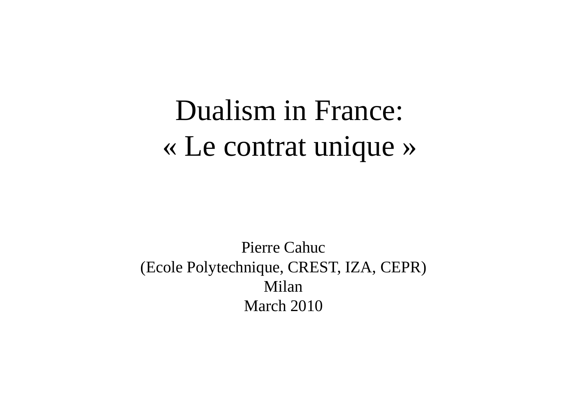# Dualism in France: «Le contrat unique »

Pierre Cahuc (Ecole Polytechnique, CREST, IZA, CEPR) Milan March 2010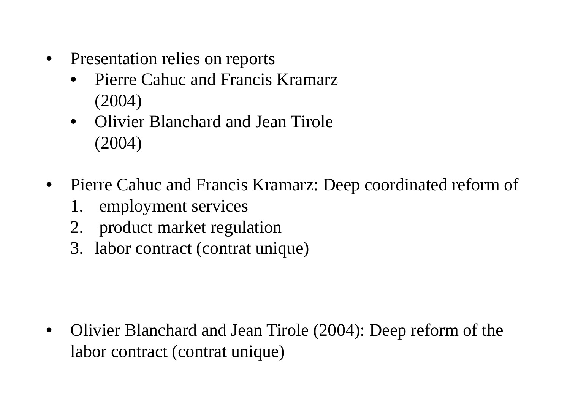- • Presentation relies on reports
	- • Pierre Cahuc and Francis Kramarz (2004)
	- $\bullet$  Olivier Blanchard and Jean Tirole (2004)
- • Pierre Cahuc and Francis Kramarz: Deep coordinated reform of
	- 1. employment services
	- 2. product market regulation
	- 3. labor contract (contrat unique)

• Olivier Blanchard and Jean Tirole (2004): Deep reform of the labor contract (contrat unique)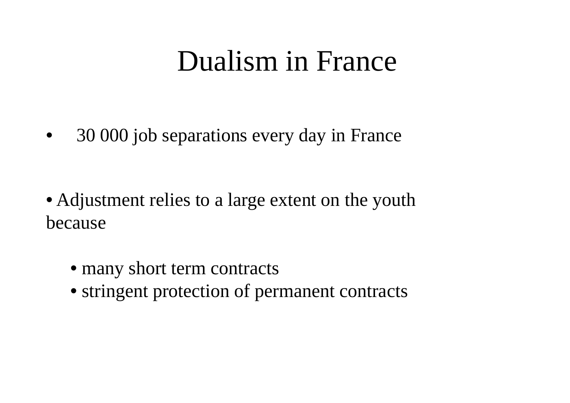# Dualism in France

•30 000 job separations every day in France

- Adjustment relies to a large extent on the youth because
	- many short term contracts
	- stringent protection of permanent contracts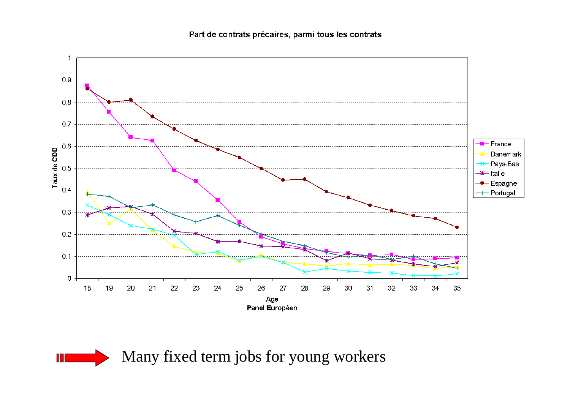Part de contrats précaires, parmi tous les contrats



Many fixed term jobs for young workers

П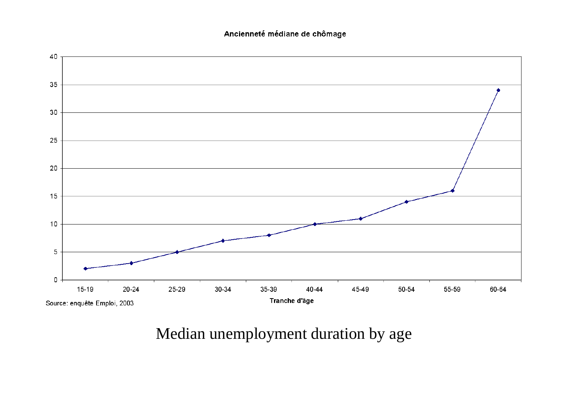#### Ancienneté médiane de chômage



### Median unemployment duration by age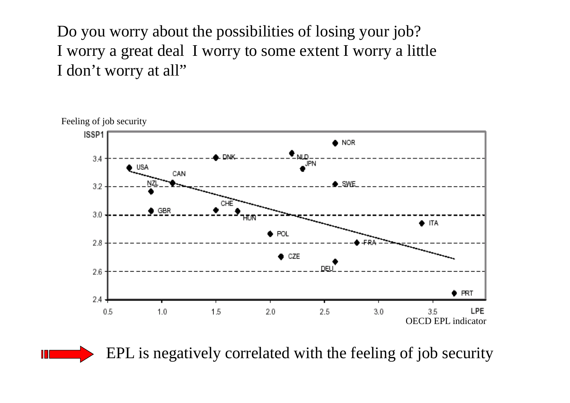Do you worry about the possibilities of losing your job? I worry a great deal I worry to some extent I worry a little I don't worry at all"



EPL is negatively correlated with the feeling of job security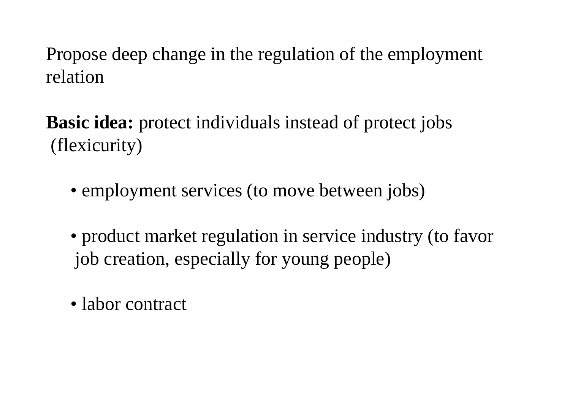Propose deep change in the regulation of the employment relation

- **Basic idea:** protect individuals instead of protect jobs (flexicurity)
	- employment services (to move between jobs)
	- product market regulation in service industry (to favor job creation, especially for young people)
	- labor contract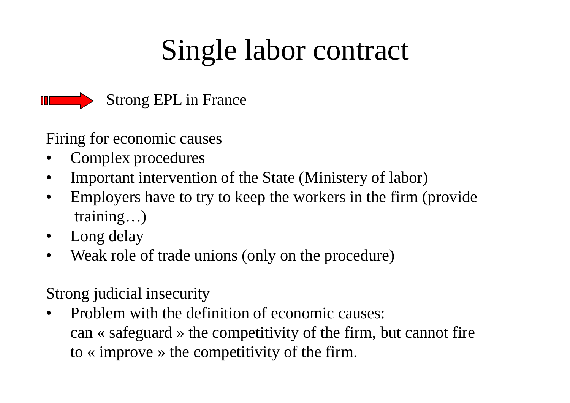# Single labor contract



- Firing for economic causes
- •Complex procedures
- •Important intervention of the State (Ministery of labor)
- • Employers have to try to keep the workers in the firm (provide training…)
- •Long delay
- •Weak role of trade unions (only on the procedure)
- Strong judicial insecurity
- • Problem with the definition of economic causes: can « safeguard » the competitivity of the firm, but cannot fire to « improve » the competitivity of the firm.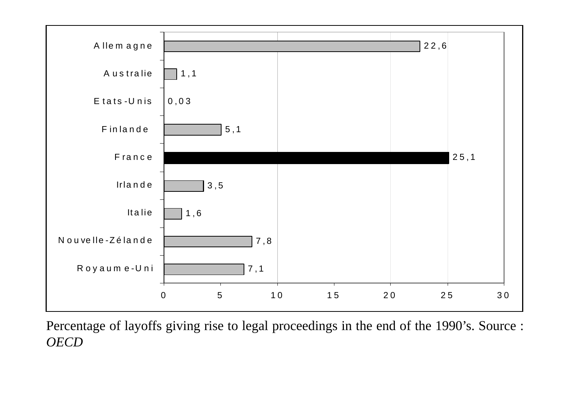

Percentage of layoffs giving rise to legal proceedings in the end of the 1990's. Source : *OECD*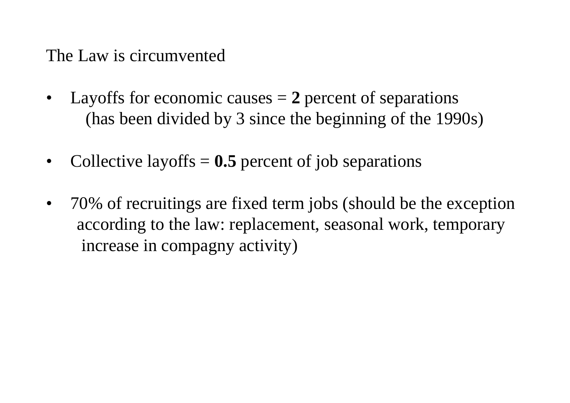The Law is circumvented

- • Layoffs for economic causes = **2** percent of separations (has been divided by 3 since the beginning of the 1990s)
- •Collective layoffs = **0.5** percent of job separations
- • 70% of recruitings are fixed term jobs (should be the exception according to the law: replacement, seasonal work, temporary increase in compagny activity)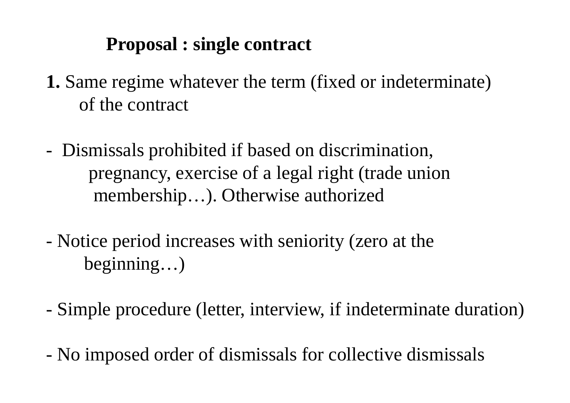### **Proposal : single contract**

- **1.** Same regime whatever the term (fixed or indeterminate) of the contract
- Dismissals prohibited if based on discrimination, pregnancy, exercise of a legal right (trade union membership…). Otherwise authorized
- Notice period increases with seniority (zero at the beginning…)
- Simple procedure (letter, interview, if indeterminate duration)
- No imposed order of dismissals for collective dismissals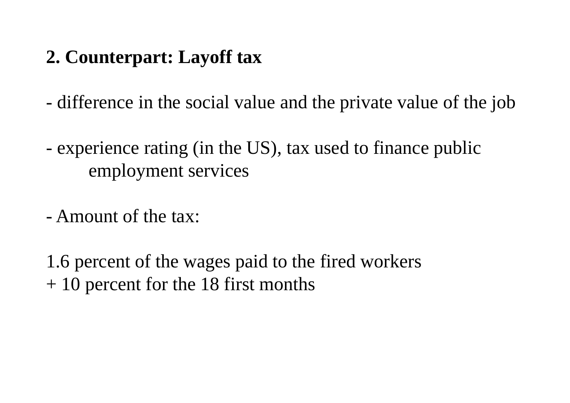# **2. Counterpart: Layoff tax**

difference in the social value and the private value of the job

 experience rating (in the US), tax used to finance public employment services

- Amount of the tax:

1.6 percent of the wages paid to the fired workers + 10 percent for the 18 first months